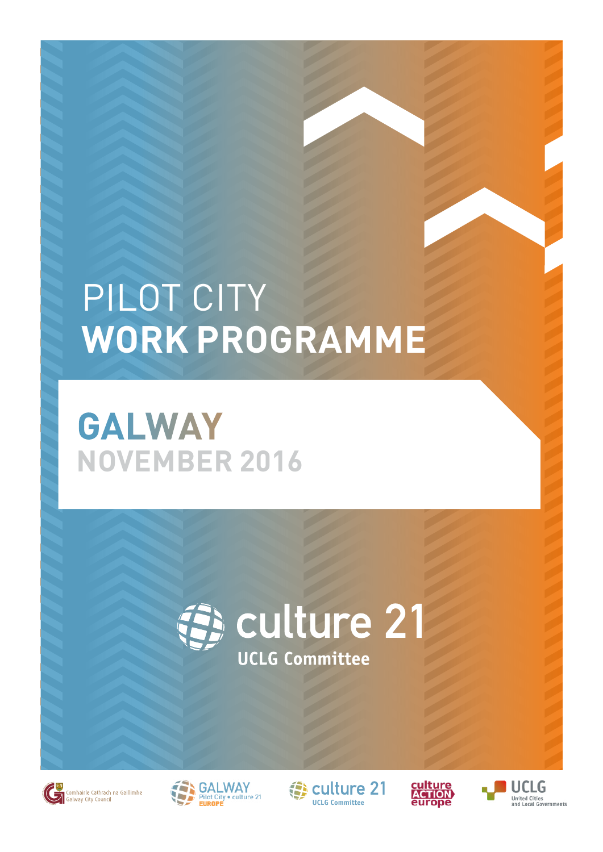### PILOT CITY **WORK PROGRAMME**

### **GALWAY NOVEMBER 2016**







**13** culture 21 **[UCLG Committee](http://www.agenda21culture.net/index.php?lang=en)**



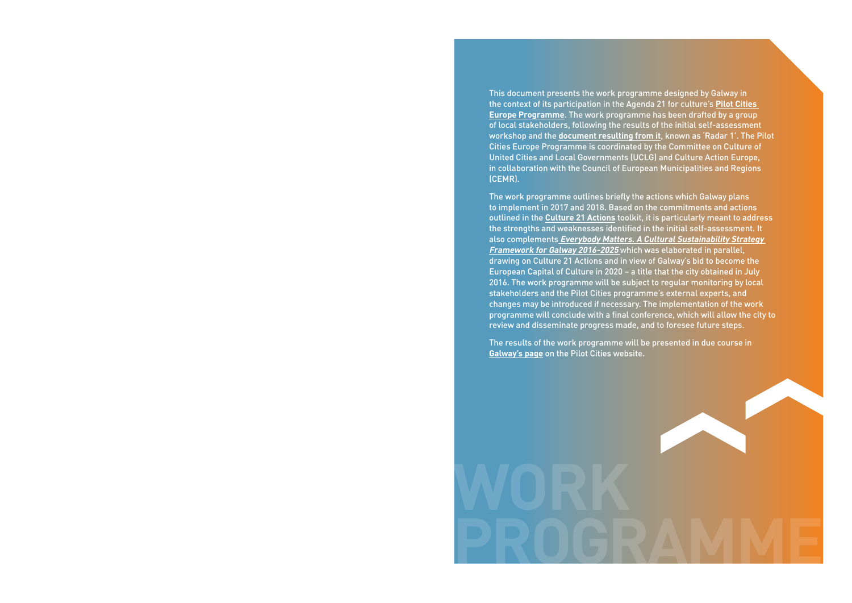This document presents the work programme designed by Galway in the context of its participation in the Agenda 21 for culture's **[Pilot Cities](http://agenda21culture.net/our-cities/pilot-cities)  [Europe Programme](http://agenda21culture.net/our-cities/pilot-cities)**. The work programme has been drafted by a group of local stakeholders, following the results of the initial self-assessment workshop and the **[document resulting from it](http://agenda21culture.net/sites/default/files/files/cities/content/informe_galway-eng.pdf)**, known as 'Radar 1'. The Pilot Cities Europe Programme is coordinated by the Committee on Culture of United Cities and Local Governments (UCLG) and Culture Action Europe, in collaboration with the Council of European Municipalities and Regions (CEMR).

The work programme outlines briefly the actions which Galway plans to implement in 2017 and 2018. Based on the commitments and actions outlined in the **[Culture 21 Actions](http://agenda21culture.net/documents/culture-21-actions)** toolkit, it is particularly meant to address the strengths and weaknesses identified in the initial self-assessment. It also complements **[Everybody Matters. A Cultural Sustainability Strategy](https://www.galwaycity.ie/uploads/downloads/publications/corporate_services/Galway_City_cultural_strategy.pdf)  [Framework for Galway 2016-2025](https://www.galwaycity.ie/uploads/downloads/publications/corporate_services/Galway_City_cultural_strategy.pdf)** which was elaborated in parallel, drawing on Culture 21 Actions and in view of Galway's bid to become the European Capital of Culture in 2020 – a title that the city obtained in July 2016. The work programme will be subject to regular monitoring by local stakeholders and the Pilot Cities programme's external experts, and changes may be introduced if necessary. The implementation of the work programme will conclude with a final conference, which will allow the city to review and disseminate progress made, and to foresee future steps.

The results of the work programme will be presented in due course in **[Galway's page](http://agenda21culture.net/our-cities/galway)** on the Pilot Cities website.

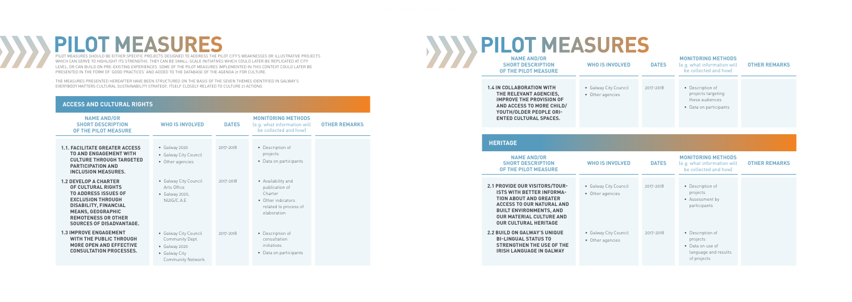# **PILOT MEASURES**

PILOT MEASURES SHOULD BE EITHER SPECIFIC PROJECTS DESIGNED TO ADDRESS THE PILOT CITY'S WEAKNESSES OR ILLUSTRATIVE PROJECTS WHICH CAN SERVE TO HIGHLIGHT ITS STRENGTHS. THEY CAN BE SMALL-SCALE INITIATIVES WHICH COULD LATER BE REPLICATED AT CITY LEVEL, OR CAN BUILD ON PRE-EXISTING EXPERIENCES. SOME OF THE PILOT MEASURES IMPLEMENTED IN THIS CONTEXT COULD LATER BE PRESENTED IN THE FORM OF 'GOOD PRACTICES' AND ADDED TO THE DATABASE OF THE AGENDA 21 FOR CULTURE.

THE MEASURES PRESENTED HEREAFTER HAVE BEEN STRUCTURED ON THE BASIS OF THE SEVEN THEMES IDENTIFIED IN GALWAY'S EVERYBODY MATTERS CULTURAL SUSTAINABILITY STRATEGY, ITSELF CLOSELY RELATED TO CULTURE 21 ACTIONS.

#### **ACCESS AND CULTURAL RIGHTS**

**HERITAGE**

| <b>NAME AND/OR</b><br><b>SHORT DESCRIPTION</b><br>OF THE PILOT MEASURE                                                                                                                 | <b>WHO IS INVOLVED</b>                    | <b>DATES</b> | <b>MONITORING METHODS</b><br>(e.g. what information will<br>be collected and how    | <b>OTHER REMARKS</b> |
|----------------------------------------------------------------------------------------------------------------------------------------------------------------------------------------|-------------------------------------------|--------------|-------------------------------------------------------------------------------------|----------------------|
| <b>1.4 IN COLLABORATION WITH</b><br>THE RELEVANT AGENCIES,<br><b>IMPROVE THE PROVISION OF</b><br>AND ACCESS TO MORE CHILD/<br>YOUTH/OLDER PEOPLE ORI-<br><b>ENTED CULTURAL SPACES.</b> | • Galway City Council<br>• Other agencies | 2017-2018    | • Description of<br>projects targeting<br>these audiences<br>• Data on participants |                      |

| <b>NAME AND/OR</b><br><b>SHORT DESCRIPTION</b><br>OF THE PILOT MEASURE                                                                                                                                                                     | <b>WHO IS INVOLVED</b>                                                                           | <b>DATES</b> | <b>MONITORING METHODS</b><br>(e.g. what information will<br>be collected and how)                             | <b>OTHER REMARKS</b> |
|--------------------------------------------------------------------------------------------------------------------------------------------------------------------------------------------------------------------------------------------|--------------------------------------------------------------------------------------------------|--------------|---------------------------------------------------------------------------------------------------------------|----------------------|
| <b>1.1. FACILITATE GREATER ACCESS</b><br><b>TO AND ENGAGEMENT WITH</b><br><b>CULTURE THROUGH TARGETED</b><br><b>PARTICIPATION AND</b><br><b>INCLUSION MEASURES.</b>                                                                        | • Galway 2020<br>• Galway City Council<br>• Other agencies                                       | 2017-2018    | • Description of<br>projects<br>• Data on participants                                                        |                      |
| <b>1.2 DEVELOP A CHARTER</b><br>OF CULTURAL RIGHTS<br><b>TO ADDRESS ISSUES OF</b><br><b>EXCLUSION THROUGH</b><br><b>DISABILITY, FINANCIAL</b><br><b>MEANS, GEOGRAPHIC</b><br><b>REMOTENESS OR OTHER</b><br><b>SOURCES OF DISADVANTAGE.</b> | • Galway City Council<br>Arts Office<br>$\bullet$ Galway 2020,<br>NUIG/C.A.E                     | 2017-2018    | • Availability and<br>publication of<br>Charter<br>• Other indicators<br>related to process of<br>elaboration |                      |
| <b>1.3 IMPROVE ENGAGEMENT</b><br>WITH THE PUBLIC THROUGH<br><b>MORE OPEN AND EFFECTIVE</b><br><b>CONSULTATION PROCESSES.</b>                                                                                                               | • Galway City Council<br>Community Dept.<br>• Galway 2020<br>• Galway City<br>Community Network. | 2017-2018    | • Description of<br>consultation<br>initiatives<br>• Data on participants                                     |                      |

## **PILOT MEASURES**

| <b>NAME AND/OR</b><br><b>SHORT DESCRIPTION</b><br>OF THE PILOT MEASURE                                                                                                                                                                              | <b>WHO IS INVOLVED</b>                    | <b>DATES</b> | <b>MONITORING METHODS</b><br>(e.g. what information will<br>be collected and how)       | <b>OTHER REMARKS</b> |
|-----------------------------------------------------------------------------------------------------------------------------------------------------------------------------------------------------------------------------------------------------|-------------------------------------------|--------------|-----------------------------------------------------------------------------------------|----------------------|
| <b>2.1 PROVIDE OUR VISITORS/TOUR-</b><br><b>ISTS WITH BETTER INFORMA-</b><br><b>TION ABOUT AND GREATER</b><br><b>ACCESS TO OUR NATURAL AND</b><br><b>BUILT ENVIRONMENTS, AND</b><br><b>OUR MATERIAL CULTURE AND</b><br><b>OUR CULTURAL HERITAGE</b> | • Galway City Council<br>• Other agencies | 2017-2018    | • Description of<br>projects<br>• Assessment by<br>participants                         |                      |
| <b>2.2 BUILD ON GALWAY'S UNIQUE</b><br><b>BI-LINGUAL STATUS TO</b><br><b>STRENGTHEN THE USE OF THE</b><br><b>IRISH LANGUAGE IN GALWAY</b>                                                                                                           | • Galway City Council<br>• Other agencies | 2017-2018    | • Description of<br>projects<br>• Data on use of<br>language and results<br>of projects |                      |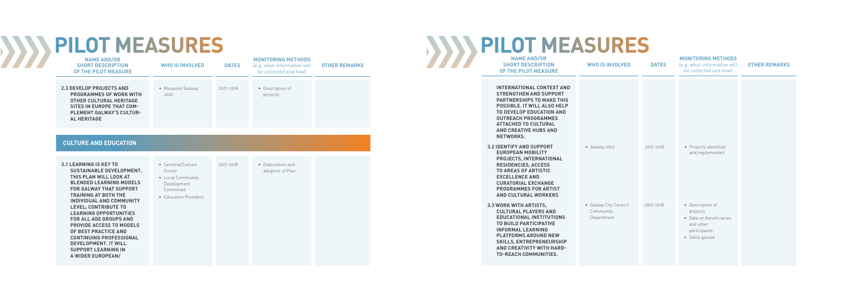#### **CULTURE AND EDUCATION**

### $\sum$ **PILOT MEASURES**

| <b>2.3 DEVELOP PROJECTS AND</b><br>• Museum/Galway<br>2017-2018<br>• Description of                                                                                               | <b>OTHER REMARKS</b> |
|-----------------------------------------------------------------------------------------------------------------------------------------------------------------------------------|----------------------|
| projects<br><b>PROGRAMMES OF WORK WITH</b><br>2020<br><b>OTHER CULTURAL HERITAGE</b><br><b>SITES IN EUROPE THAT COM-</b><br><b>PLEMENT GALWAY'S CULTUR-</b><br><b>AL HERITAGE</b> |                      |

## **PILOT MEASURES**

- **3.1 LEARNING IS KEY TO SUSTAINABLE DEVELOPMENT. THIS PLAN WILL LOOK AT BLENDED LEARNING MODELS FOR GALWAY THAT SUPPORT TRAINING AT BOTH THE INDIVIDUAL AND COMMUNITY LEVEL; CONTRIBUTE TO LEARNING OPPORTUNITIES FOR ALL AGE GROUPS AND PROVIDE ACCESS TO MODELS OF BEST PRACTICE AND CONTINUING PROFESSIONAL DEVELOPMENT. IT WILL SUPPORT LEARNING IN A WIDER EUROPEAN/**
- Sectoral/Culture Forum
- Local Community Development Committee
- Education Providers

• Elaboration and adoption of Plan



2017-2018

| <b>NAME AND/OR</b><br><b>SHORT DESCRIPTION</b><br>OF THE PILOT MEASURE                                                                                                                                                                                                                      | <b>WHO IS INVOLVED</b>                            | <b>DATES</b> | <b>MONITORING METHODS</b><br>(e.g. what information will<br>be collected and how)                       | <b>OTHER REMARKS</b> |
|---------------------------------------------------------------------------------------------------------------------------------------------------------------------------------------------------------------------------------------------------------------------------------------------|---------------------------------------------------|--------------|---------------------------------------------------------------------------------------------------------|----------------------|
| <b>INTERNATIONAL CONTEXT AND</b><br><b>STRENGTHEN AND SUPPORT</b><br><b>PARTNERSHIPS TO MAKE THIS</b><br><b>POSSIBLE. IT WILL ALSO HELP</b><br>TO DEVELOP EDUCATION AND<br><b>OUTREACH PROGRAMMES</b><br><b>ATTACHED TO CULTURAL</b><br><b>AND CREATIVE HUBS AND</b><br><b>NETWORKS.</b>    |                                                   |              |                                                                                                         |                      |
| <b>3.2 IDENTIFY AND SUPPORT</b><br><b>EUROPEAN MOBILITY</b><br>PROJECTS, INTERNATIONAL<br><b>RESIDENCIES, ACCESS</b><br><b>TO AREAS OF ARTISTIC</b><br><b>EXCELLENCE AND</b><br><b>CURATORIAL EXCHANGE</b><br><b>PROGRAMMES FOR ARTIST</b><br><b>AND CULTURAL WORKERS</b>                   | • Galway 2020                                     | 2017-2018    | • Projects identified<br>and implemented                                                                |                      |
| 3.3 WORK WITH ARTISTS,<br><b>CULTURAL PLAYERS AND</b><br><b>EDUCATIONAL INSTITUTIONS</b><br><b>TO BUILD PARTICIPATIVE</b><br><b>INFORMAL LEARNING</b><br><b>PLATFORMS AROUND NEW</b><br><b>SKILLS, ENTREPRENEURSHIP</b><br><b>AND CREATIVITY WITH HARD-</b><br><b>TO-REACH COMMUNITIES.</b> | • Galway City Council<br>Community<br>Department. | 2017-2018    | • Description of<br>projects<br>• Data on beneficiaries<br>and other<br>participants<br>• Skills gained |                      |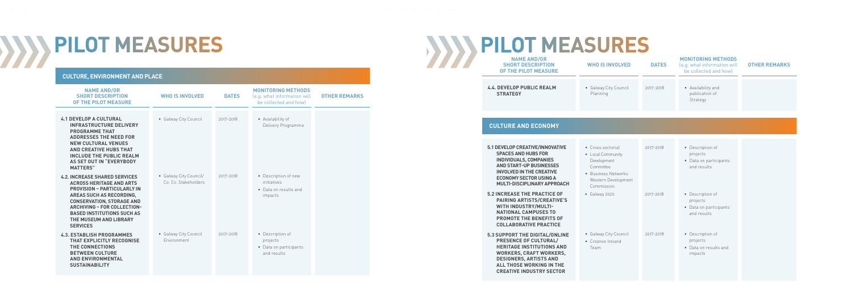### $333$ **PILOT MEASURES**

#### **CULTURE, ENVIRONMENT AND PLACE**

| <b>NAME AND/OR</b><br><b>SHORT DESCRIPTION</b><br><b>OF THE PILOT MEASURE</b>                                                                                                                                                                      | <b>WHO IS INVOLVED</b>                                                                                                         | <b>DATES</b> | <b>MONITORING METHODS</b><br>(e.g. what information will<br>be collected and how) | <b>OTHER REMARKS</b> |
|----------------------------------------------------------------------------------------------------------------------------------------------------------------------------------------------------------------------------------------------------|--------------------------------------------------------------------------------------------------------------------------------|--------------|-----------------------------------------------------------------------------------|----------------------|
| <b>4.4. DEVELOP PUBLIC REALM</b><br><b>STRATEGY</b>                                                                                                                                                                                                | • Galway City Council<br>Planning                                                                                              | 2017-2018    | • Availability and<br>publication of<br>Strategy                                  |                      |
| <b>CULTURE AND ECONOMY</b>                                                                                                                                                                                                                         |                                                                                                                                |              |                                                                                   |                      |
| 5.1 DEVELOP CREATIVE/INNOVATIVE<br><b>SPACES AND HUBS FOR</b><br><b>INDIVIDUALS, COMPANIES</b><br><b>AND START-UP BUSINESSES</b><br><b>INVOLVED IN THE CREATIVE</b><br><b>ECONOMY SECTOR USING A</b><br><b>MULTI-DISCIPLINARY APPROACH</b>         | • Cross sectorial<br>• Local Community<br>Development<br>Committee<br>• Business Networks<br>Western Development<br>Commission | 2017-2018    | • Description of<br>projects<br>• Data on participants<br>and results             |                      |
| <b>5.2 INCREASE THE PRACTICE OF</b><br><b>PAIRING ARTISTS/CREATIVE'S</b><br>WITH INDUSTRY/MULTI-<br><b>NATIONAL CAMPUSES TO</b><br><b>PROMOTE THE BENEFITS OF</b><br><b>COLLABORATIVE PRACTICE</b>                                                 | • Galway 2020                                                                                                                  | 2017-2018    | • Description of<br>projects<br>• Data on participants<br>and results             |                      |
| <b>5.3 SUPPORT THE DIGITAL/ONLINE</b><br><b>PRESENCE OF CULTURAL/</b><br><b>HERITAGE INSTITUTIONS AND</b><br><b>WORKERS, CRAFT WORKERS,</b><br><b>DESIGNERS, ARTISTS AND</b><br><b>ALL THOSE WORKING IN THE</b><br><b>CREATIVE INDUSTRY SECTOR</b> | • Galway City Council<br>• Creative Ireland<br>Team                                                                            | 2017-2018    | • Description of<br>projects<br>• Data on results and<br>impacts                  |                      |

| <b>NAME AND/OR</b><br><b>SHORT DESCRIPTION</b><br>OF THE PILOT MEASURE                                                                                                                                                                                                                                       | <b>WHO IS INVOLVED</b>                         | <b>DATES</b> | <b>MONITORING METHODS</b><br>(e.g. what information will<br>be collected and how) | <b>OTHER REMARKS</b> |
|--------------------------------------------------------------------------------------------------------------------------------------------------------------------------------------------------------------------------------------------------------------------------------------------------------------|------------------------------------------------|--------------|-----------------------------------------------------------------------------------|----------------------|
| <b>4.1 DEVELOP A CULTURAL</b><br><b>INFRASTRUCTURE DELIVERY</b><br><b>PROGRAMME THAT</b><br><b>ADDRESSES THE NEED FOR</b><br><b>NEW CULTURAL VENUES</b><br><b>AND CREATIVE HUBS THAT</b><br><b>INCLUDE THE PUBLIC REALM</b><br>AS SET OUT IN "EVERYBODY<br><b>MATTERS"</b>                                   | • Galway City Council                          | 2017-2018    | • Availability of<br>Delivery Programme                                           |                      |
| <b>4.2. INCREASE SHARED SERVICES</b><br><b>ACROSS HERITAGE AND ARTS</b><br><b>PROVISION - PARTICULARLY IN</b><br><b>AREAS SUCH AS RECORDING,</b><br><b>CONSERVATION, STORAGE AND</b><br><b>ARCHIVING - FOR COLLECTION-</b><br><b>BASED INSTITUTIONS SUCH AS</b><br>THE MUSEUM AND LIBRARY<br><b>SERVICES</b> | • Galway City Council/<br>Co. Co. Stakeholders | 2017-2018    | • Description of new<br>initiatives<br>• Data on results and<br>impacts           |                      |
| <b>4.3. ESTABLISH PROGRAMMES</b><br><b>THAT EXPLICITLY RECOGNISE</b><br>THE CONNECTIONS<br><b>BETWEEN CULTURE</b><br><b>AND ENVIRONMENTAL</b><br><b>SUSTAINABILITY</b>                                                                                                                                       | • Galway City Council<br>Environment           | 2017-2018    | • Description of<br>projects<br>• Data on participants<br>and results             |                      |

# **PILOT MEASURES**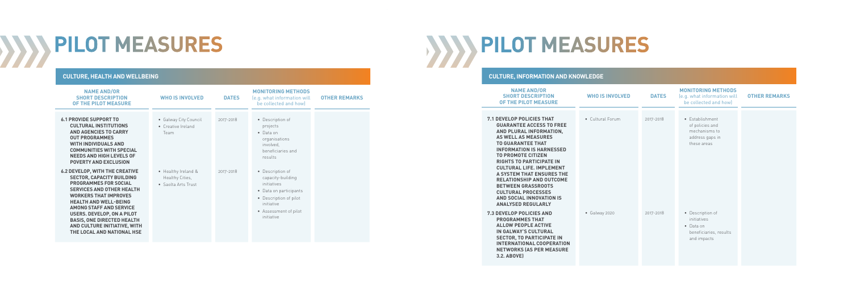#### **PILOT MEASURES**  $\bm{M}$

#### **CULTURE, INFORMATION AND KNOWLEDGE**

# **PILOT MEASURES**

| <b>NAME AND/OR</b><br><b>SHORT DESCRIPTION</b><br>OF THE PILOT MEASURE                                                                                                                                                                                                                                                                                                                                                                                                                   | <b>WHO IS INVOLVED</b> | <b>DATES</b> | <b>MONITORING METHODS</b><br>(e.g. what information will<br>be collected and how)             | <b>OTHER REMARKS</b> |
|------------------------------------------------------------------------------------------------------------------------------------------------------------------------------------------------------------------------------------------------------------------------------------------------------------------------------------------------------------------------------------------------------------------------------------------------------------------------------------------|------------------------|--------------|-----------------------------------------------------------------------------------------------|----------------------|
| <b>7.1 DEVELOP POLICIES THAT</b><br><b>GUARANTEE ACCESS TO FREE</b><br>AND PLURAL INFORMATION,<br><b>AS WELL AS MEASURES</b><br><b>TO GUARANTEE THAT</b><br><b>INFORMATION IS HARNESSED</b><br><b>TO PROMOTE CITIZEN</b><br><b>RIGHTS TO PARTICIPATE IN</b><br><b>CULTURAL LIFE. IMPLEMENT</b><br>A SYSTEM THAT ENSURES THE<br><b>RELATIONSHIP AND OUTCOME</b><br><b>BETWEEN GRASSROOTS</b><br><b>CULTURAL PROCESSES</b><br><b>AND SOCIAL INNOVATION IS</b><br><b>ANALYSED REGULARLY</b> | • Cultural Forum       | 2017-2018    | • Establishment<br>of policies and<br>mechanisms to<br>address gaps in<br>these areas         |                      |
| <b>7.3 DEVELOP POLICIES AND</b><br><b>PROGRAMMES THAT</b><br><b>ALLOW PEOPLE ACTIVE</b><br><b>IN GALWAY'S CULTURAL</b><br><b>SECTOR, TO PARTICIPATE IN</b><br><b>INTERNATIONAL COOPERATION</b><br><b>NETWORKS (AS PER MEASURE</b><br>3.2. ABOVE)                                                                                                                                                                                                                                         | • Galway 2020          | 2017-2018    | • Description of<br>initiatives<br>$\bullet$ Data on<br>beneficiaries, results<br>and impacts |                      |

| <b>NAME AND/OR</b><br><b>SHORT DESCRIPTION</b><br>OF THE PILOT MEASURE                                                                                                                                                                                                                                                                                                                  | <b>WHO IS INVOLVED</b>                                        | <b>DATES</b> | <b>MONITORING METHODS</b><br>(e.g. what information will<br>be collected and how)                                                                             | <b>OTHER REMARKS</b> |
|-----------------------------------------------------------------------------------------------------------------------------------------------------------------------------------------------------------------------------------------------------------------------------------------------------------------------------------------------------------------------------------------|---------------------------------------------------------------|--------------|---------------------------------------------------------------------------------------------------------------------------------------------------------------|----------------------|
| <b>6.1 PROVIDE SUPPORT TO</b><br><b>CULTURAL INSTITUTIONS</b><br><b>AND AGENCIES TO CARRY</b><br><b>OUT PROGRAMMES</b><br><b>WITH INDIVIDUALS AND</b><br><b>COMMUNITIES WITH SPECIAL</b><br><b>NEEDS AND HIGH LEVELS OF</b><br><b>POVERTY AND EXCLUSION</b>                                                                                                                             | • Galway City Council<br>• Creative Ireland<br>Team           | 2017-2018    | • Description of<br>projects<br>$\bullet$ Data on<br>organisations<br>involved,<br>beneficiaries and<br>results                                               |                      |
| <b>6.2 DEVELOP, WITH THE CREATIVE</b><br><b>SECTOR, CAPACITY BUILDING</b><br><b>PROGRAMMES FOR SOCIAL</b><br><b>SERVICES AND OTHER HEALTH</b><br><b>WORKERS THAT IMPROVES</b><br><b>HEALTH AND WELL-BEING</b><br><b>AMONG STAFF AND SERVICE</b><br><b>USERS. DEVELOP, ON A PILOT</b><br><b>BASIS, ONE DIRECTED HEALTH</b><br>AND CULTURE INITIATIVE, WITH<br>THE LOCAL AND NATIONAL HSE | • Healthy Ireland &<br>Healthy Cities,<br>• Saolta Arts Trust | 2017-2018    | • Description of<br>capacity-building<br>initiatives<br>• Data on participants<br>• Description of pilot<br>initiative<br>• Assessment of pilot<br>initiative |                      |



#### **CULTURE, HEALTH AND WELLBEING**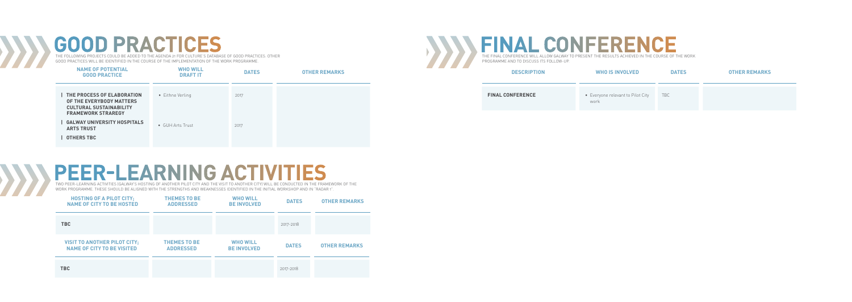### **GOOD PRACTICES**

THE FOLLOWING PROJECTS COULD BE ADDED TO THE AGENDA 21 FOR CULTURE'S DATABASE OF GOOD PRACTICES. OTHER GOOD PRACTICES WILL BE IDENTIFIED IN THE COURSE OF THE IMPLEMENTATION OF THE WORK PROGRAMME.

| <b>NAME OF POTENTIAL</b><br><b>GOOD PRACTICE</b>                                                                               | <b>WHO WILL</b><br><b>DRAFT IT</b> | <b>DATES</b> | <b>OTHER REMARKS</b> |
|--------------------------------------------------------------------------------------------------------------------------------|------------------------------------|--------------|----------------------|
| <b>I THE PROCESS OF ELABORATION</b><br>OF THE EVERYBODY MATTERS<br><b>CULTURAL SUSTAINABILITY</b><br><b>FRAMEWORK STRAREGY</b> | • Eithne Verling                   | 2017         |                      |
| <b>I GALWAY UNIVERSITY HOSPITALS</b><br><b>ARTS TRUST</b><br><b>OTHERS TBC</b>                                                 | • GUH Arts Trust                   | 2017         |                      |

### **PEER-LEARNING ACTIVITIES**

#### **FINAL CONFEREN** THE FINAL CONFERENCE WILL ALLOW GALWAY TO PRESENT THE RESULTS ACHIEVED IN THE COURSE OF THE WORK

TWO PEER-LEARNING ACTIVITIES (GALWAY'S HOSTING OF ANOTHER PILOT CITY AND THE VISIT TO ANOTHER CITY) WILL BE CONDUCTED IN THE FRAMEWORK OF THE WORK PROGRAMME. THESE SHOULD BE ALIGNED WITH THE STRENGTHS AND WEAKNESSES IDENTIFIED IN THE INITIAL WORKSHOP AND IN "RADAR 1".





PROGRAMME AND TO DISCUSS ITS FOLLOW-UP.

| <b>DESCRIPTION</b>      | <b>WHO IS INVOLVED</b>                    | <b>DATES</b> | <b>OTHER REMARKS</b> |
|-------------------------|-------------------------------------------|--------------|----------------------|
| <b>FINAL CONFERENCE</b> | • Everyone relevant to Pilot City<br>work | <b>TBC</b>   |                      |